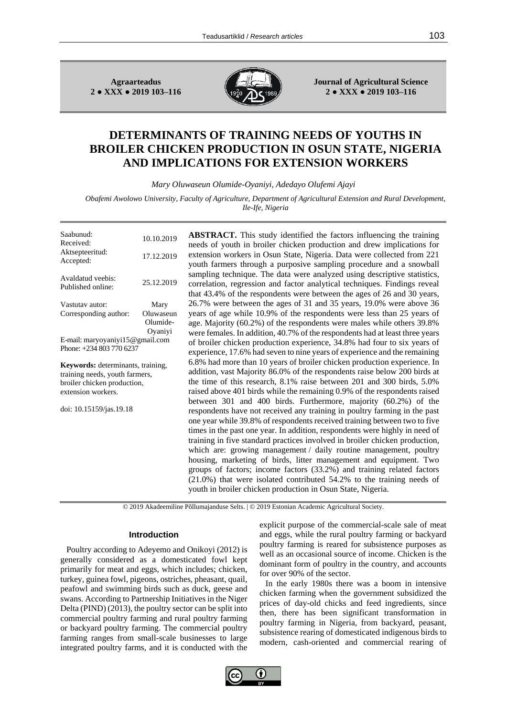**Agraarteadus 2 ● XXX ● 2019 103–116**



**Journal of Agricultural Science 2 ● XXX ● 2019 103–116**

# **DETERMINANTS OF TRAINING NEEDS OF YOUTHS IN BROILER CHICKEN PRODUCTION IN OSUN STATE, NIGERIA AND IMPLICATIONS FOR EXTENSION WORKERS**

*Mary Oluwaseun Olumide-Oyaniyi, Adedayo Olufemi Ajayi*

*Obafemi Awolowo University, Faculty of Agriculture, Department of Agricultural Extension and Rural Development, Ile-Ife, Nigeria*

| Saabunud:<br>Received:<br>Aktsepteeritud:<br>Accepted:                                                                   | 10.10.2019<br>17.12.2019                 |
|--------------------------------------------------------------------------------------------------------------------------|------------------------------------------|
| Avaldatud veebis:<br>Published online:                                                                                   | 25.12.2019                               |
| Vastutav autor:<br>Corresponding author:                                                                                 | Mary<br>Oluwaseun<br>Olumide-<br>Oyaniyi |
| E-mail: maryoyaniyi15@gmail.com<br>Phone: +234 803 770 6237                                                              |                                          |
| Keywords: determinants, training,<br>training needs, youth farmers,<br>broiler chicken production,<br>extension workers. |                                          |
| doi: 10.15159/jas.19.18                                                                                                  |                                          |
|                                                                                                                          |                                          |
|                                                                                                                          |                                          |
|                                                                                                                          |                                          |

**ABSTRACT.** This study identified the factors influencing the training needs of youth in broiler chicken production and drew implications for extension workers in Osun State, Nigeria. Data were collected from 221 youth farmers through a purposive sampling procedure and a snowball sampling technique. The data were analyzed using descriptive statistics, correlation, regression and factor analytical techniques. Findings reveal that 43.4% of the respondents were between the ages of 26 and 30 years, 26.7% were between the ages of 31 and 35 years, 19.0% were above 36 years of age while 10.9% of the respondents were less than 25 years of age. Majority (60.2%) of the respondents were males while others 39.8% were females. In addition, 40.7% of the respondents had at least three years of broiler chicken production experience, 34.8% had four to six years of experience, 17.6% had seven to nine years of experience and the remaining 6.8% had more than 10 years of broiler chicken production experience. In addition, vast Majority 86.0% of the respondents raise below 200 birds at the time of this research, 8.1% raise between 201 and 300 birds, 5.0% raised above 401 birds while the remaining 0.9% of the respondents raised between 301 and 400 birds. Furthermore, majority (60.2%) of the respondents have not received any training in poultry farming in the past one year while 39.8% of respondents received training between two to five times in the past one year. In addition, respondents were highly in need of training in five standard practices involved in broiler chicken production, which are: growing management / daily routine management, poultry housing, marketing of birds, litter management and equipment. Two groups of factors; income factors (33.2%) and training related factors (21.0%) that were isolated contributed 54.2% to the training needs of youth in broiler chicken production in Osun State, Nigeria.

© 2019 Akadeemiline Põllumajanduse Selts. | © 2019 Estonian Academic Agricultural Society.

#### **Introduction**

Poultry according to Adeyemo and Onikoyi (2012) is generally considered as a domesticated fowl kept primarily for meat and eggs, which includes; chicken, turkey, guinea fowl, pigeons, ostriches, pheasant, quail, peafowl and swimming birds such as duck, geese and swans. According to Partnership Initiatives in the Niger Delta (PIND) (2013), the poultry sector can be split into commercial poultry farming and rural poultry farming or backyard poultry farming. The commercial poultry farming ranges from small-scale businesses to large integrated poultry farms, and it is conducted with the

explicit purpose of the commercial-scale sale of meat and eggs, while the rural poultry farming or backyard poultry farming is reared for subsistence purposes as well as an occasional source of income. Chicken is the dominant form of poultry in the country, and accounts for over 90% of the sector.

In the early 1980s there was a boom in intensive chicken farming when the government subsidized the prices of day-old chicks and feed ingredients, since then, there has been significant transformation in poultry farming in Nigeria, from backyard, peasant, subsistence rearing of domesticated indigenous birds to modern, cash-oriented and commercial rearing of

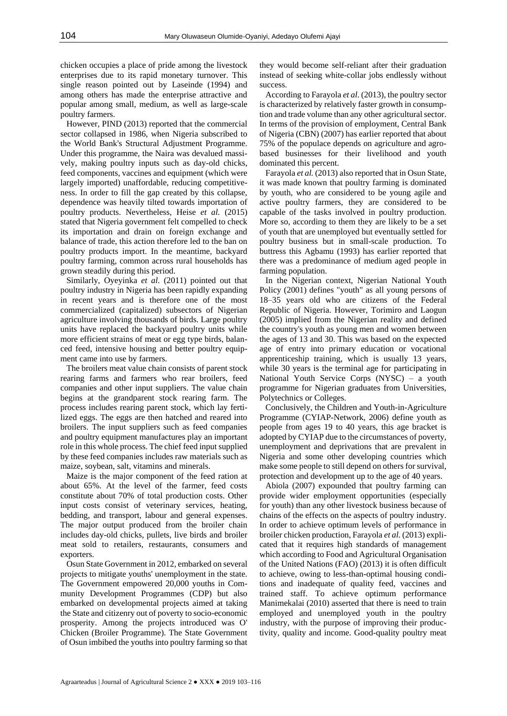chicken occupies a place of pride among the livestock enterprises due to its rapid monetary turnover. This single reason pointed out by Laseinde (1994) and among others has made the enterprise attractive and popular among small, medium, as well as large-scale poultry farmers.

However, PIND (2013) reported that the commercial sector collapsed in 1986, when Nigeria subscribed to the World Bank's Structural Adjustment Programme. Under this programme, the Naira was devalued massively, making poultry inputs such as day-old chicks, feed components, vaccines and equipment (which were largely imported) unaffordable, reducing competitiveness. In order to fill the gap created by this collapse, dependence was heavily tilted towards importation of poultry products. Nevertheless, Heise *et al.* (2015) stated that Nigeria government felt compelled to check its importation and drain on foreign exchange and balance of trade, this action therefore led to the ban on poultry products import. In the meantime, backyard poultry farming, common across rural households has grown steadily during this period.

Similarly, Oyeyinka *et al*. (2011) pointed out that poultry industry in Nigeria has been rapidly expanding in recent years and is therefore one of the most commercialized (capitalized) subsectors of Nigerian agriculture involving thousands of birds. Large poultry units have replaced the backyard poultry units while more efficient strains of meat or egg type birds, balanced feed, intensive housing and better poultry equipment came into use by farmers.

The broilers meat value chain consists of parent stock rearing farms and farmers who rear broilers, feed companies and other input suppliers. The value chain begins at the grandparent stock rearing farm. The process includes rearing parent stock, which lay fertilized eggs. The eggs are then hatched and reared into broilers. The input suppliers such as feed companies and poultry equipment manufactures play an important role in this whole process. The chief feed input supplied by these feed companies includes raw materials such as maize, soybean, salt, vitamins and minerals.

Maize is the major component of the feed ration at about 65%. At the level of the farmer, feed costs constitute about 70% of total production costs. Other input costs consist of veterinary services, heating, bedding, and transport, labour and general expenses. The major output produced from the broiler chain includes day-old chicks, pullets, live birds and broiler meat sold to retailers, restaurants, consumers and exporters.

Osun State Government in 2012, embarked on several projects to mitigate youths' unemployment in the state. The Government empowered 20,000 youths in Community Development Programmes (CDP) but also embarked on developmental projects aimed at taking the State and citizenry out of poverty to socio-economic prosperity. Among the projects introduced was O' Chicken (Broiler Programme). The State Government of Osun imbibed the youths into poultry farming so that

they would become self-reliant after their graduation instead of seeking white-collar jobs endlessly without success.

According to Farayola *et al*. (2013), the poultry sector is characterized by relatively faster growth in consumption and trade volume than any other agricultural sector. In terms of the provision of employment, Central Bank of Nigeria (CBN) (2007) has earlier reported that about 75% of the populace depends on agriculture and agrobased businesses for their livelihood and youth dominated this percent.

Farayola *et al.* (2013) also reported that in Osun State, it was made known that poultry farming is dominated by youth, who are considered to be young agile and active poultry farmers, they are considered to be capable of the tasks involved in poultry production. More so, according to them they are likely to be a set of youth that are unemployed but eventually settled for poultry business but in small-scale production. To buttress this Agbamu (1993) has earlier reported that there was a predominance of medium aged people in farming population.

In the Nigerian context, Nigerian National Youth Policy (2001) defines "youth" as all young persons of 18–35 years old who are citizens of the Federal Republic of Nigeria. However, Torimiro and Laogun (2005) implied from the Nigerian reality and defined the country's youth as young men and women between the ages of 13 and 30. This was based on the expected age of entry into primary education or vocational apprenticeship training, which is usually 13 years, while 30 years is the terminal age for participating in National Youth Service Corps (NYSC) – a youth programme for Nigerian graduates from Universities, Polytechnics or Colleges.

Conclusively, the Children and Youth-in-Agriculture Programme (CYIAP-Network, 2006) define youth as people from ages 19 to 40 years, this age bracket is adopted by CYIAP due to the circumstances of poverty, unemployment and deprivations that are prevalent in Nigeria and some other developing countries which make some people to still depend on others for survival, protection and development up to the age of 40 years.

Abiola (2007) expounded that poultry farming can provide wider employment opportunities (especially for youth) than any other livestock business because of chains of the effects on the aspects of poultry industry. In order to achieve optimum levels of performance in broiler chicken production, Farayola *et al.* (2013) explicated that it requires high standards of management which according to Food and Agricultural Organisation of the United Nations (FAO) (2013) it is often difficult to achieve, owing to less-than-optimal housing conditions and inadequate of quality feed, vaccines and trained staff. To achieve optimum performance Manimekalai (2010) asserted that there is need to train employed and unemployed youth in the poultry industry, with the purpose of improving their productivity, quality and income. Good-quality poultry meat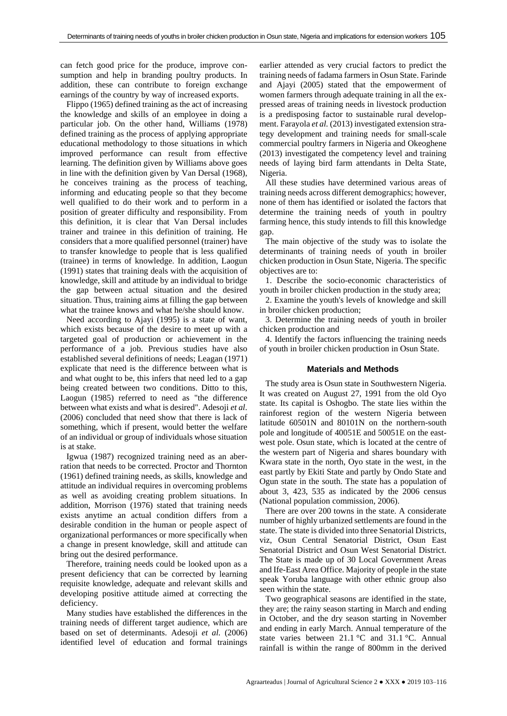can fetch good price for the produce, improve consumption and help in branding poultry products. In addition, these can contribute to foreign exchange earnings of the country by way of increased exports.

Flippo (1965) defined training as the act of increasing the knowledge and skills of an employee in doing a particular job. On the other hand, Williams (1978) defined training as the process of applying appropriate educational methodology to those situations in which improved performance can result from effective learning. The definition given by Williams above goes in line with the definition given by Van Dersal (1968), he conceives training as the process of teaching, informing and educating people so that they become well qualified to do their work and to perform in a position of greater difficulty and responsibility. From this definition, it is clear that Van Dersal includes trainer and trainee in this definition of training. He considers that a more qualified personnel (trainer) have to transfer knowledge to people that is less qualified (trainee) in terms of knowledge. In addition, Laogun (1991) states that training deals with the acquisition of knowledge, skill and attitude by an individual to bridge the gap between actual situation and the desired situation. Thus, training aims at filling the gap between what the trainee knows and what he/she should know.

Need according to Ajayi (1995) is a state of want, which exists because of the desire to meet up with a targeted goal of production or achievement in the performance of a job. Previous studies have also established several definitions of needs; Leagan (1971) explicate that need is the difference between what is and what ought to be, this infers that need led to a gap being created between two conditions. Ditto to this, Laogun (1985) referred to need as "the difference between what exists and what is desired". Adesoji *et al*. (2006) concluded that need show that there is lack of something, which if present, would better the welfare of an individual or group of individuals whose situation is at stake.

Igwua (1987) recognized training need as an aberration that needs to be corrected. Proctor and Thornton (1961) defined training needs, as skills, knowledge and attitude an individual requires in overcoming problems as well as avoiding creating problem situations. In addition, Morrison (1976) stated that training needs exists anytime an actual condition differs from a desirable condition in the human or people aspect of organizational performances or more specifically when a change in present knowledge, skill and attitude can bring out the desired performance.

Therefore, training needs could be looked upon as a present deficiency that can be corrected by learning requisite knowledge, adequate and relevant skills and developing positive attitude aimed at correcting the deficiency.

Many studies have established the differences in the training needs of different target audience, which are based on set of determinants. Adesoji *et al.* (2006) identified level of education and formal trainings earlier attended as very crucial factors to predict the training needs of fadama farmers in Osun State. Farinde and Ajayi (2005) stated that the empowerment of women farmers through adequate training in all the expressed areas of training needs in livestock production is a predisposing factor to sustainable rural development. Farayola *et al.* (2013) investigated extension strategy development and training needs for small-scale commercial poultry farmers in Nigeria and Okeoghene (2013) investigated the competency level and training needs of laying bird farm attendants in Delta State, Nigeria.

All these studies have determined various areas of training needs across different demographics; however, none of them has identified or isolated the factors that determine the training needs of youth in poultry farming hence, this study intends to fill this knowledge gap.

The main objective of the study was to isolate the determinants of training needs of youth in broiler chicken production in Osun State, Nigeria. The specific objectives are to:

1. Describe the socio-economic characteristics of youth in broiler chicken production in the study area;

2. Examine the youth's levels of knowledge and skill in broiler chicken production;

3. Determine the training needs of youth in broiler chicken production and

4. Identify the factors influencing the training needs of youth in broiler chicken production in Osun State.

#### **Materials and Methods**

The study area is Osun state in Southwestern Nigeria. It was created on August 27, 1991 from the old Oyo state. Its capital is Oshogbo. The state lies within the rainforest region of the western Nigeria between latitude 60501N and 80101N on the northern-south pole and longitude of 40051E and 50051E on the eastwest pole. Osun state, which is located at the centre of the western part of Nigeria and shares boundary with Kwara state in the north, Oyo state in the west, in the east partly by Ekiti State and partly by Ondo State and Ogun state in the south. The state has a population of about 3, 423, 535 as indicated by the 2006 census (National population commission, 2006).

There are over 200 towns in the state. A considerate number of highly urbanized settlements are found in the state. The state is divided into three Senatorial Districts, viz, Osun Central Senatorial District, Osun East Senatorial District and Osun West Senatorial District. The State is made up of 30 Local Government Areas and Ife-East Area Office. Majority of people in the state speak Yoruba language with other ethnic group also seen within the state.

Two geographical seasons are identified in the state, they are; the rainy season starting in March and ending in October, and the dry season starting in November and ending in early March. Annual temperature of the state varies between 21.1 °C and 31.1 °C. Annual rainfall is within the range of 800mm in the derived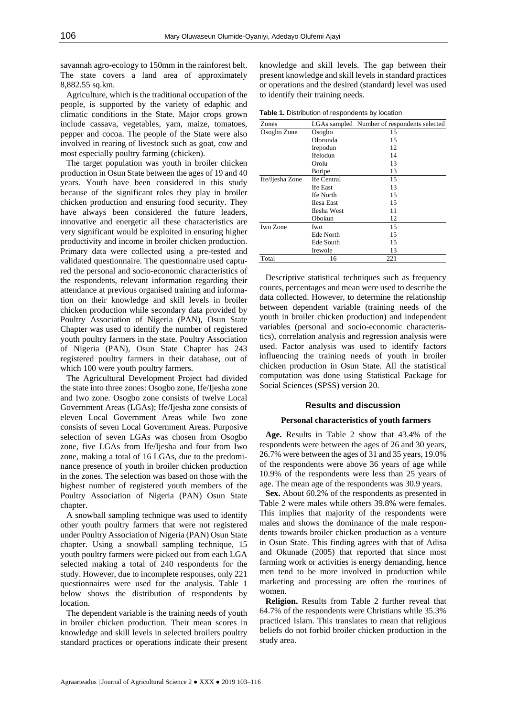savannah agro-ecology to 150mm in the rainforest belt. The state covers a land area of approximately 8,882.55 sq.km.

Agriculture, which is the traditional occupation of the people, is supported by the variety of edaphic and climatic conditions in the State. Major crops grown include cassava, vegetables, yam, maize, tomatoes, pepper and cocoa. The people of the State were also involved in rearing of livestock such as goat, cow and most especially poultry farming (chicken).

The target population was youth in broiler chicken production in Osun State between the ages of 19 and 40 years. Youth have been considered in this study because of the significant roles they play in broiler chicken production and ensuring food security. They have always been considered the future leaders, innovative and energetic all these characteristics are very significant would be exploited in ensuring higher productivity and income in broiler chicken production. Primary data were collected using a pre-tested and validated questionnaire. The questionnaire used captured the personal and socio-economic characteristics of the respondents, relevant information regarding their attendance at previous organised training and information on their knowledge and skill levels in broiler chicken production while secondary data provided by Poultry Association of Nigeria (PAN), Osun State Chapter was used to identify the number of registered youth poultry farmers in the state. Poultry Association of Nigeria (PAN), Osun State Chapter has 243 registered poultry farmers in their database, out of which 100 were youth poultry farmers.

The Agricultural Development Project had divided the state into three zones: Osogbo zone, Ife/Ijesha zone and Iwo zone. Osogbo zone consists of twelve Local Government Areas (LGAs); Ife/Ijesha zone consists of eleven Local Government Areas while Iwo zone consists of seven Local Government Areas. Purposive selection of seven LGAs was chosen from Osogbo zone, five LGAs from Ife/Ijesha and four from Iwo zone, making a total of 16 LGAs, due to the predominance presence of youth in broiler chicken production in the zones. The selection was based on those with the highest number of registered youth members of the Poultry Association of Nigeria (PAN) Osun State chapter.

A snowball sampling technique was used to identify other youth poultry farmers that were not registered under Poultry Association of Nigeria (PAN) Osun State chapter. Using a snowball sampling technique, 15 youth poultry farmers were picked out from each LGA selected making a total of 240 respondents for the study. However, due to incomplete responses, only 221 questionnaires were used for the analysis. Table 1 below shows the distribution of respondents by location.

The dependent variable is the training needs of youth in broiler chicken production. Their mean scores in knowledge and skill levels in selected broilers poultry standard practices or operations indicate their present knowledge and skill levels. The gap between their present knowledge and skill levels in standard practices or operations and the desired (standard) level was used to identify their training needs.

**Table 1.** Distribution of respondents by location

| Zones           |                   | LGAs sampled Number of respondents selected |
|-----------------|-------------------|---------------------------------------------|
| Osogbo Zone     | Osogbo            | 15                                          |
|                 | Olorunda          | 15                                          |
|                 | Irepodun          | 12                                          |
|                 | Ifelodun          | 14                                          |
|                 | Orolu             | 13                                          |
|                 | Boripe            | 13                                          |
| Ife/Ijesha Zone | Ife Central       | 15                                          |
|                 | <b>Ife East</b>   | 13                                          |
|                 | Ife North         | 15                                          |
|                 | <b>Ilesa East</b> | 15                                          |
|                 | Ilesha West       | 11                                          |
|                 | Obokun            | 12                                          |
| Iwo Zone        | Iwo               | 15                                          |
|                 | Ede North         | 15                                          |
|                 | Ede South         | 15                                          |
|                 | Irewole           | 13                                          |
| Total           | 16                | 221                                         |

Descriptive statistical techniques such as frequency counts, percentages and mean were used to describe the data collected. However, to determine the relationship between dependent variable (training needs of the youth in broiler chicken production) and independent variables (personal and socio-economic characteristics), correlation analysis and regression analysis were used. Factor analysis was used to identify factors influencing the training needs of youth in broiler chicken production in Osun State. All the statistical computation was done using Statistical Package for Social Sciences (SPSS) version 20.

## **Results and discussion**

## **Personal characteristics of youth farmers**

**Age.** Results in Table 2 show that 43.4% of the respondents were between the ages of 26 and 30 years, 26.7% were between the ages of 31 and 35 years, 19.0% of the respondents were above 36 years of age while 10.9% of the respondents were less than 25 years of age. The mean age of the respondents was 30.9 years.

**Sex.** About 60.2% of the respondents as presented in Table 2 were males while others 39.8% were females. This implies that majority of the respondents were males and shows the dominance of the male respondents towards broiler chicken production as a venture in Osun State. This finding agrees with that of Adisa and Okunade (2005) that reported that since most farming work or activities is energy demanding, hence men tend to be more involved in production while marketing and processing are often the routines of women.

**Religion.** Results from Table 2 further reveal that 64.7% of the respondents were Christians while 35.3% practiced Islam. This translates to mean that religious beliefs do not forbid broiler chicken production in the study area.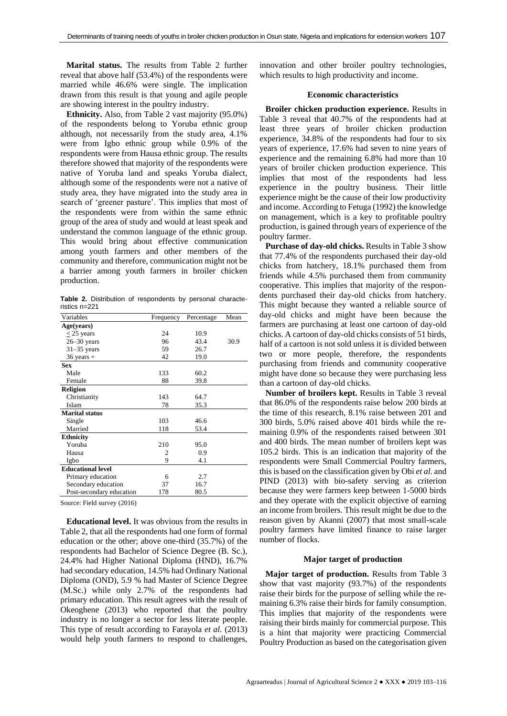**Marital status.** The results from Table 2 further reveal that above half (53.4%) of the respondents were married while 46.6% were single. The implication drawn from this result is that young and agile people are showing interest in the poultry industry.

**Ethnicity.** Also, from Table 2 vast majority (95.0%) of the respondents belong to Yoruba ethnic group although, not necessarily from the study area, 4.1% were from Igbo ethnic group while 0.9% of the respondents were from Hausa ethnic group. The results therefore showed that majority of the respondents were native of Yoruba land and speaks Yoruba dialect, although some of the respondents were not a native of study area, they have migrated into the study area in search of 'greener pasture'. This implies that most of the respondents were from within the same ethnic group of the area of study and would at least speak and understand the common language of the ethnic group. This would bring about effective communication among youth farmers and other members of the community and therefore, communication might not be a barrier among youth farmers in broiler chicken production.

**Table 2.** Distribution of respondents by personal characteristics n=221

| Age(years)<br>$<$ 25 years | 24<br>96 | 10.9 |      |
|----------------------------|----------|------|------|
|                            |          |      |      |
|                            |          |      |      |
| $26 - 30$ years            |          | 43.4 | 30.9 |
| $31-35$ years              | 59       | 26.7 |      |
| $36$ years +               | 42       | 19.0 |      |
| <b>Sex</b>                 |          |      |      |
| Male                       | 133      | 60.2 |      |
| Female                     | 88       | 39.8 |      |
| <b>Religion</b>            |          |      |      |
| Christianity               | 143      | 64.7 |      |
| Islam                      | 78       | 35.3 |      |
| <b>Marital status</b>      |          |      |      |
| Single                     | 103      | 46.6 |      |
| Married                    | 118      | 53.4 |      |
| <b>Ethnicity</b>           |          |      |      |
| Yoruba                     | 210      | 95.0 |      |
| Hausa                      | 2        | 0.9  |      |
| Igbo                       | 9        | 4.1  |      |
| <b>Educational level</b>   |          |      |      |
| Primary education          | 6        | 2.7  |      |
| Secondary education        | 37       | 16.7 |      |
| Post-secondary education   | 178      | 80.5 |      |

Source: Field survey (2016)

**Educational level.** It was obvious from the results in Table 2, that all the respondents had one form of formal education or the other; above one-third (35.7%) of the respondents had Bachelor of Science Degree (B. Sc.), 24.4% had Higher National Diploma (HND), 16.7% had secondary education, 14.5% had Ordinary National Diploma (OND), 5.9 % had Master of Science Degree (M.Sc.) while only 2.7% of the respondents had primary education. This result agrees with the result of Okeoghene (2013) who reported that the poultry industry is no longer a sector for less literate people. This type of result according to Farayola *et al.* (2013) would help youth farmers to respond to challenges,

innovation and other broiler poultry technologies, which results to high productivity and income.

#### **Economic characteristics**

**Broiler chicken production experience.** Results in Table 3 reveal that 40.7% of the respondents had at least three years of broiler chicken production experience, 34.8% of the respondents had four to six years of experience, 17.6% had seven to nine years of experience and the remaining 6.8% had more than 10 years of broiler chicken production experience. This implies that most of the respondents had less experience in the poultry business. Their little experience might be the cause of their low productivity and income. According to Fetuga (1992) the knowledge on management, which is a key to profitable poultry production, is gained through years of experience of the poultry farmer.

**Purchase of day-old chicks.** Results in Table 3 show that 77.4% of the respondents purchased their day-old chicks from hatchery, 18.1% purchased them from friends while 4.5% purchased them from community cooperative. This implies that majority of the respondents purchased their day-old chicks from hatchery. This might because they wanted a reliable source of day-old chicks and might have been because the farmers are purchasing at least one cartoon of day-old chicks. A cartoon of day-old chicks consists of 51 birds, half of a cartoon is not sold unless it is divided between two or more people, therefore, the respondents purchasing from friends and community cooperative might have done so because they were purchasing less than a cartoon of day-old chicks.

**Number of broilers kept.** Results in Table 3 reveal that 86.0% of the respondents raise below 200 birds at the time of this research, 8.1% raise between 201 and 300 birds, 5.0% raised above 401 birds while the remaining 0.9% of the respondents raised between 301 and 400 birds. The mean number of broilers kept was 105.2 birds. This is an indication that majority of the respondents were Small Commercial Poultry farmers, this is based on the classification given by Obi *et al*. and PIND (2013) with bio-safety serving as criterion because they were farmers keep between 1-5000 birds and they operate with the explicit objective of earning an income from broilers. This result might be due to the reason given by Akanni (2007) that most small-scale poultry farmers have limited finance to raise larger number of flocks.

#### **Major target of production**

**Major target of production.** Results from Table 3 show that vast majority (93.7%) of the respondents raise their birds for the purpose of selling while the remaining 6.3% raise their birds for family consumption. This implies that majority of the respondents were raising their birds mainly for commercial purpose. This is a hint that majority were practicing Commercial Poultry Production as based on the categorisation given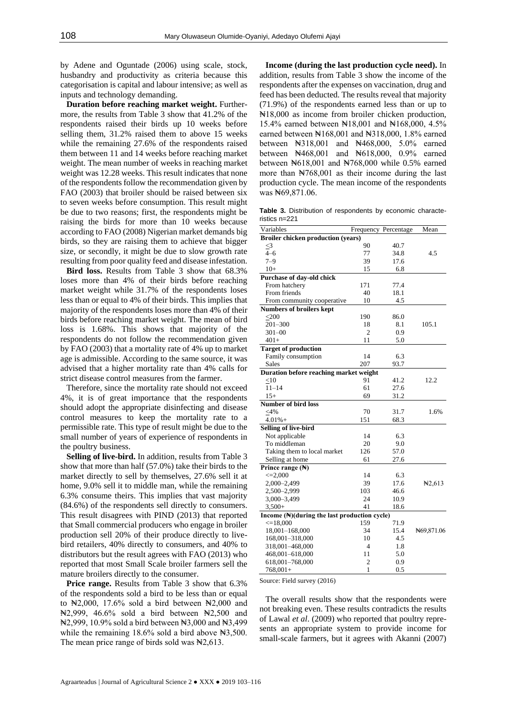by Adene and Oguntade (2006) using scale, stock, husbandry and productivity as criteria because this categorisation is capital and labour intensive; as well as inputs and technology demanding.

**Duration before reaching market weight.** Furthermore, the results from Table 3 show that 41.2% of the respondents raised their birds up 10 weeks before selling them, 31.2% raised them to above 15 weeks while the remaining 27.6% of the respondents raised them between 11 and 14 weeks before reaching market weight. The mean number of weeks in reaching market weight was 12.28 weeks. This result indicates that none of the respondents follow the recommendation given by FAO (2003) that broiler should be raised between six to seven weeks before consumption. This result might be due to two reasons; first, the respondents might be raising the birds for more than 10 weeks because according to FAO (2008) Nigerian market demands big birds, so they are raising them to achieve that bigger size, or secondly, it might be due to slow growth rate resulting from poor quality feed and disease infestation.

**Bird loss.** Results from Table 3 show that 68.3% loses more than 4% of their birds before reaching market weight while 31.7% of the respondents loses less than or equal to 4% of their birds. This implies that majority of the respondents loses more than 4% of their birds before reaching market weight. The mean of bird loss is 1.68%. This shows that majority of the respondents do not follow the recommendation given by FAO (2003) that a mortality rate of 4% up to market age is admissible. According to the same source, it was advised that a higher mortality rate than 4% calls for strict disease control measures from the farmer.

Therefore, since the mortality rate should not exceed 4%, it is of great importance that the respondents should adopt the appropriate disinfecting and disease control measures to keep the mortality rate to a permissible rate. This type of result might be due to the small number of years of experience of respondents in the poultry business.

**Selling of live-bird.** In addition, results from Table 3 show that more than half (57.0%) take their birds to the market directly to sell by themselves, 27.6% sell it at home, 9.0% sell it to middle man, while the remaining 6.3% consume theirs. This implies that vast majority (84.6%) of the respondents sell directly to consumers. This result disagrees with PIND (2013) that reported that Small commercial producers who engage in broiler production sell 20% of their produce directly to livebird retailers, 40% directly to consumers, and 40% to distributors but the result agrees with FAO (2013) who reported that most Small Scale broiler farmers sell the mature broilers directly to the consumer.

**Price range.** Results from Table 3 show that 6.3% of the respondents sold a bird to be less than or equal to  $\text{N2,000}$ , 17.6% sold a bird between  $\text{N2,000}$  and ₦2,999, 46.6% sold a bird between ₦2,500 and ₦2,999, 10.9% sold a bird between ₦3,000 and ₦3,499 while the remaining  $18.6\%$  sold a bird above  $\text{H}3,500$ . The mean price range of birds sold was  $\mathbb{N}2,613$ .

**Income (during the last production cycle need).** In addition, results from Table 3 show the income of the respondents after the expenses on vaccination, drug and feed has been deducted. The results reveal that majority (71.9%) of the respondents earned less than or up to ₦18,000 as income from broiler chicken production, 15.4% earned between ₦18,001 and ₦168,000, 4.5% earned between ₦168,001 and ₦318,000, 1.8% earned between \\\$318,001 and \\\$468,000, 5.0% earned between \\$468,001 and \\$618,000, 0.9% earned between ₦618,001 and ₦768,000 while 0.5% earned more than N $768,001$  as their income during the last production cycle. The mean income of the respondents was  $\text{N}69,871.06$ .

**Table 3.** Distribution of respondents by economic characteristics n=221

| Variables                                    |                | Frequency Percentage | Mean        |
|----------------------------------------------|----------------|----------------------|-------------|
| <b>Broiler chicken production (years)</b>    |                |                      |             |
| $\leq$ 3                                     | 90             | 40.7                 |             |
| $4 - 6$                                      | 77             | 34.8                 | 4.5         |
| $7 - 9$                                      | 39             | 17.6                 |             |
| $10+$                                        | 15             | 6.8                  |             |
| Purchase of day-old chick                    |                |                      |             |
| From hatchery                                | 171            | 77.4                 |             |
| From friends                                 | 40             | 18.1                 |             |
| From community cooperative                   | 10             | 4.5                  |             |
| <b>Numbers of broilers kept</b>              |                |                      |             |
| $<$ 200 $\,$                                 | 190            | 86.0                 |             |
| $201 - 300$                                  | 18             | 8.1                  | 105.1       |
| $301 - 00$                                   | $\overline{c}$ | 0.9                  |             |
| $401+$                                       | 11             | 5.0                  |             |
| <b>Target of production</b>                  |                |                      |             |
| Family consumption                           | 14             | 6.3                  |             |
| Sales                                        | 207            | 93.7                 |             |
| Duration before reaching market weight       |                |                      |             |
| $<$ 10                                       | 91             | 41.2                 | 12.2        |
| $11 - 14$                                    | 61             | 27.6                 |             |
| $15+$                                        | 69             | 31.2                 |             |
| <b>Number of bird loss</b>                   |                |                      |             |
| $<$ 4%                                       | 70             | 31.7                 | 1.6%        |
| $4.01% +$                                    | 151            | 68.3                 |             |
| Selling of live-bird                         |                |                      |             |
| Not applicable                               | 14             | 6.3                  |             |
| To middleman                                 | 20             | 9.0                  |             |
| Taking them to local market                  | 126            | 57.0                 |             |
| Selling at home                              | 61             | 27.6                 |             |
| Prince range $(\mathbb{H})$                  |                |                      |             |
| $\leq 2,000$                                 | 14             | 6.3                  |             |
| 2,000-2,499                                  | 39             | 17.6                 | $\pm 2,613$ |
| 2,500-2,999                                  | 103            | 46.6                 |             |
| 3,000-3,499                                  | 24             | 10.9                 |             |
| $3,500+$                                     | 41             | 18.6                 |             |
| Income (N)(during the last production cycle) |                |                      |             |
| $\leq 18,000$                                | 159            | 71.9                 |             |
| 18,001-168,000                               | 34             | 15.4                 | N69,871.06  |
| 168,001-318,000                              | 10             | 4.5                  |             |
| 318,001-468,000                              | 4              | 1.8                  |             |
| 468,001-618,000                              | 11             | 5.0                  |             |
| 618,001-768,000                              | 2              | 0.9                  |             |
| $768,001+$                                   | 1              | 0.5                  |             |

Source: Field survey (2016)

The overall results show that the respondents were not breaking even. These results contradicts the results of Lawal *et al*. (2009) who reported that poultry represents an appropriate system to provide income for small-scale farmers, but it agrees with Akanni (2007)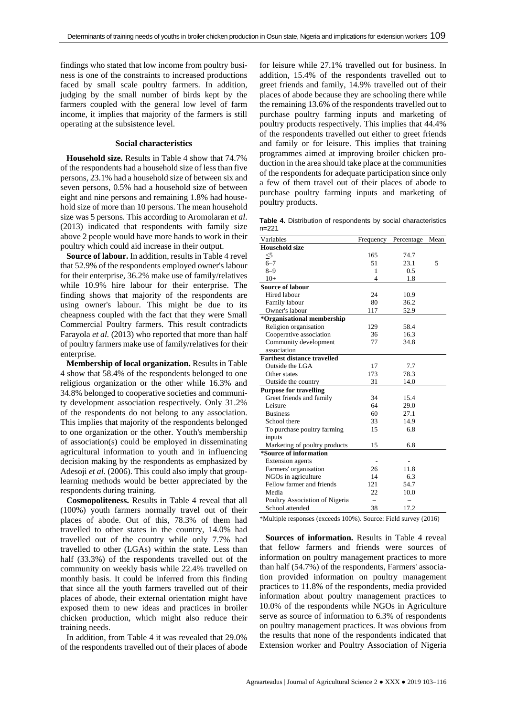findings who stated that low income from poultry business is one of the constraints to increased productions faced by small scale poultry farmers. In addition, judging by the small number of birds kept by the farmers coupled with the general low level of farm income, it implies that majority of the farmers is still operating at the subsistence level.

## **Social characteristics**

**Household size.** Results in Table 4 show that 74.7% of the respondents had a household size of less than five persons, 23.1% had a household size of between six and seven persons, 0.5% had a household size of between eight and nine persons and remaining 1.8% had household size of more than 10 persons. The mean household size was 5 persons. This according to Aromolaran *et al*. (2013) indicated that respondents with family size above 2 people would have more hands to work in their poultry which could aid increase in their output.

**Source of labour.** In addition, results in Table 4 revel that 52.9% of the respondents employed owner's labour for their enterprise, 36.2% make use of family/relatives while 10.9% hire labour for their enterprise. The finding shows that majority of the respondents are using owner's labour. This might be due to its cheapness coupled with the fact that they were Small Commercial Poultry farmers. This result contradicts Farayola *et al.* (2013) who reported that more than half of poultry farmers make use of family/relatives for their enterprise.

**Membership of local organization.** Results in Table 4 show that 58.4% of the respondents belonged to one religious organization or the other while 16.3% and 34.8% belonged to cooperative societies and community development association respectively. Only 31.2% of the respondents do not belong to any association. This implies that majority of the respondents belonged to one organization or the other. Youth's membership of association(s) could be employed in disseminating agricultural information to youth and in influencing decision making by the respondents as emphasized by Adesoji *et al.* (2006). This could also imply that grouplearning methods would be better appreciated by the respondents during training.

**Cosmopoliteness.** Results in Table 4 reveal that all (100%) youth farmers normally travel out of their places of abode. Out of this, 78.3% of them had travelled to other states in the country, 14.0% had travelled out of the country while only 7.7% had travelled to other (LGAs) within the state. Less than half (33.3%) of the respondents travelled out of the community on weekly basis while 22.4% travelled on monthly basis. It could be inferred from this finding that since all the youth farmers travelled out of their places of abode, their external orientation might have exposed them to new ideas and practices in broiler chicken production, which might also reduce their training needs.

In addition, from Table 4 it was revealed that 29.0% of the respondents travelled out of their places of abode for leisure while 27.1% travelled out for business. In addition, 15.4% of the respondents travelled out to greet friends and family, 14.9% travelled out of their places of abode because they are schooling there while the remaining 13.6% of the respondents travelled out to purchase poultry farming inputs and marketing of poultry products respectively. This implies that 44.4% of the respondents travelled out either to greet friends and family or for leisure. This implies that training programmes aimed at improving broiler chicken production in the area should take place at the communities of the respondents for adequate participation since only a few of them travel out of their places of abode to purchase poultry farming inputs and marketing of poultry products.

**Table 4.** Distribution of respondents by social characteristics n=221

| Variables                          | Frequency      | Percentage | Mean |
|------------------------------------|----------------|------------|------|
| <b>Household size</b>              |                |            |      |
| $\leq 5$                           | 165            | 74.7       |      |
| $6 - 7$                            | 51             | 23.1       | 5    |
| $8 - 9$                            | 1              | 0.5        |      |
| $10+$                              | $\overline{4}$ | 1.8        |      |
| <b>Source of labour</b>            |                |            |      |
| Hired labour                       | 24             | 10.9       |      |
| Family labour                      | 80             | 36.2       |      |
| Owner's labour                     | 117            | 52.9       |      |
| *Organisational membership         |                |            |      |
| Religion organisation              | 129            | 58.4       |      |
| Cooperative association            | 36             | 16.3       |      |
| Community development              | 77             | 34.8       |      |
| association                        |                |            |      |
| <b>Farthest distance travelled</b> |                |            |      |
| Outside the LGA                    | 17             | 7.7        |      |
| Other states                       | 173            | 78.3       |      |
| Outside the country                | 31             | 14.0       |      |
| <b>Purpose for travelling</b>      |                |            |      |
| Greet friends and family           | 34             | 15.4       |      |
| Leisure                            | 64             | 29.0       |      |
| <b>Business</b>                    | 60             | 27.1       |      |
| School there                       | 33             | 14.9       |      |
| To purchase poultry farming        | 15             | 6.8        |      |
| inputs                             |                |            |      |
| Marketing of poultry products      | 15             | 6.8        |      |
| *Source of information             |                |            |      |
| <b>Extension</b> agents            |                |            |      |
| Farmers' organisation              | 26             | 11.8       |      |
| NGOs in agriculture                | 14             | 6.3        |      |
| Fellow farmer and friends          | 121            | 54.7       |      |
| Media                              | 22             | 10.0       |      |
| Poultry Association of Nigeria     |                |            |      |
| School attended                    | 38             | 17.2       |      |

\*Multiple responses (exceeds 100%). Source: Field survey (2016)

**Sources of information.** Results in Table 4 reveal that fellow farmers and friends were sources of information on poultry management practices to more than half (54.7%) of the respondents, Farmers' association provided information on poultry management practices to 11.8% of the respondents, media provided information about poultry management practices to 10.0% of the respondents while NGOs in Agriculture serve as source of information to 6.3% of respondents on poultry management practices. It was obvious from the results that none of the respondents indicated that Extension worker and Poultry Association of Nigeria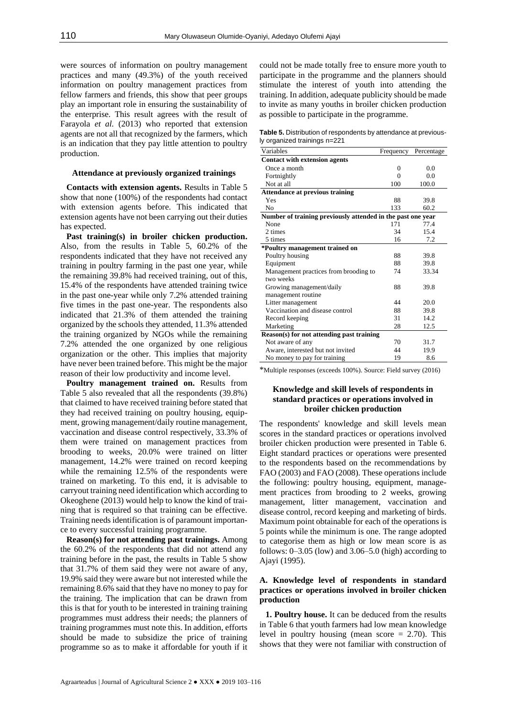were sources of information on poultry management practices and many (49.3%) of the youth received information on poultry management practices from fellow farmers and friends, this show that peer groups play an important role in ensuring the sustainability of the enterprise. This result agrees with the result of Farayola *et al.* (2013) who reported that extension agents are not all that recognized by the farmers, which is an indication that they pay little attention to poultry production.

## **Attendance at previously organized trainings**

**Contacts with extension agents.** Results in Table 5 show that none (100%) of the respondents had contact with extension agents before. This indicated that extension agents have not been carrying out their duties has expected.

**Past training(s) in broiler chicken production.** Also, from the results in Table 5, 60.2% of the respondents indicated that they have not received any training in poultry farming in the past one year, while the remaining 39.8% had received training, out of this, 15.4% of the respondents have attended training twice in the past one-year while only 7.2% attended training five times in the past one-year. The respondents also indicated that 21.3% of them attended the training organized by the schools they attended, 11.3% attended the training organized by NGOs while the remaining 7.2% attended the one organized by one religious organization or the other. This implies that majority have never been trained before. This might be the major reason of their low productivity and income level.

**Poultry management trained on.** Results from Table 5 also revealed that all the respondents (39.8%) that claimed to have received training before stated that they had received training on poultry housing, equipment, growing management/daily routine management, vaccination and disease control respectively, 33.3% of them were trained on management practices from brooding to weeks, 20.0% were trained on litter management, 14.2% were trained on record keeping while the remaining 12.5% of the respondents were trained on marketing. To this end, it is advisable to carryout training need identification which according to Okeoghene (2013) would help to know the kind of training that is required so that training can be effective. Training needs identification is of paramount importance to every successful training programme.

**Reason(s) for not attending past trainings.** Among the 60.2% of the respondents that did not attend any training before in the past, the results in Table 5 show that 31.7% of them said they were not aware of any, 19.9% said they were aware but not interested while the remaining 8.6% said that they have no money to pay for the training. The implication that can be drawn from this is that for youth to be interested in training training programmes must address their needs; the planners of training programmes must note this. In addition, efforts should be made to subsidize the price of training programme so as to make it affordable for youth if it

could not be made totally free to ensure more youth to participate in the programme and the planners should stimulate the interest of youth into attending the training. In addition, adequate publicity should be made to invite as many youths in broiler chicken production as possible to participate in the programme.

**Table 5.** Distribution of respondents by attendance at previously organized trainings n=221

| Variables                                                   | Frequency | Percentage |
|-------------------------------------------------------------|-----------|------------|
| <b>Contact with extension agents</b>                        |           |            |
| Once a month                                                | 0         | 0.0        |
| Fortnightly                                                 | $\Omega$  | 0.0        |
| Not at all                                                  | 100       | 100.0      |
| <b>Attendance at previous training</b>                      |           |            |
| Yes                                                         | 88        | 39.8       |
| N <sub>0</sub>                                              | 133       | 60.2       |
| Number of training previously attended in the past one year |           |            |
| None                                                        | 171       | 77.4       |
| 2 times                                                     | 34        | 15.4       |
| 5 times                                                     | 16        | 7.2        |
| *Poultry management trained on                              |           |            |
| Poultry housing                                             | 88        | 39.8       |
| Equipment                                                   | 88        | 39.8       |
| Management practices from brooding to                       | 74        | 33.34      |
| two weeks                                                   |           |            |
| Growing management/daily                                    | 88        | 39.8       |
| management routine                                          |           |            |
| Litter management                                           | 44        | 20.0       |
| Vaccination and disease control                             | 88        | 39.8       |
| Record keeping                                              | 31        | 14.2       |
| Marketing                                                   | 28        | 12.5       |
| Reason(s) for not attending past training                   |           |            |
| Not aware of any                                            | 70        | 31.7       |
| Aware, interested but not invited                           | 44        | 19.9       |
| No money to pay for training                                | 19        | 8.6        |

\*Multiple responses (exceeds 100%). Source: Field survey (2016)

# **Knowledge and skill levels of respondents in standard practices or operations involved in broiler chicken production**

The respondents' knowledge and skill levels mean scores in the standard practices or operations involved broiler chicken production were presented in Table 6. Eight standard practices or operations were presented to the respondents based on the recommendations by FAO (2003) and FAO (2008). These operations include the following: poultry housing, equipment, management practices from brooding to 2 weeks, growing management, litter management, vaccination and disease control, record keeping and marketing of birds. Maximum point obtainable for each of the operations is 5 points while the minimum is one. The range adopted to categorise them as high or low mean score is as follows:  $0-3.05$  (low) and  $3.06-5.0$  (high) according to Ajayi (1995).

# **A. Knowledge level of respondents in standard practices or operations involved in broiler chicken production**

**1. Poultry house.** It can be deduced from the results in Table 6 that youth farmers had low mean knowledge level in poultry housing (mean score  $= 2.70$ ). This shows that they were not familiar with construction of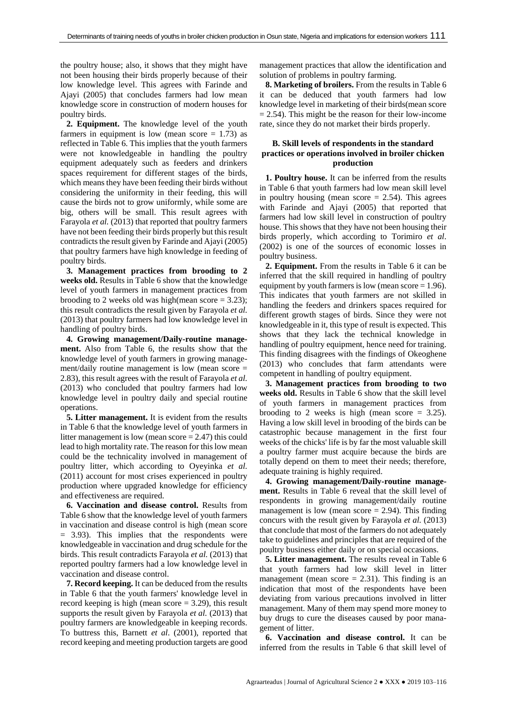the poultry house; also, it shows that they might have not been housing their birds properly because of their low knowledge level. This agrees with Farinde and Ajayi (2005) that concludes farmers had low mean knowledge score in construction of modern houses for poultry birds.

**2. Equipment.** The knowledge level of the youth farmers in equipment is low (mean score  $= 1.73$ ) as reflected in Table 6. This implies that the youth farmers were not knowledgeable in handling the poultry equipment adequately such as feeders and drinkers spaces requirement for different stages of the birds, which means they have been feeding their birds without considering the uniformity in their feeding, this will cause the birds not to grow uniformly, while some are big, others will be small. This result agrees with Farayola *et al.* (2013) that reported that poultry farmers have not been feeding their birds properly but this result contradicts the result given by Farinde and Ajayi (2005) that poultry farmers have high knowledge in feeding of poultry birds.

**3. Management practices from brooding to 2 weeks old.** Results in Table 6 show that the knowledge level of youth farmers in management practices from brooding to 2 weeks old was high(mean score  $= 3.23$ ); this result contradicts the result given by Farayola *et al.* (2013) that poultry farmers had low knowledge level in handling of poultry birds.

**4. Growing management/Daily-routine management.** Also from Table 6, the results show that the knowledge level of youth farmers in growing management/daily routine management is low (mean score = 2.83), this result agrees with the result of Farayola *et al.* (2013) who concluded that poultry farmers had low knowledge level in poultry daily and special routine operations.

**5. Litter management.** It is evident from the results in Table 6 that the knowledge level of youth farmers in litter management is low (mean score  $= 2.47$ ) this could lead to high mortality rate. The reason for this low mean could be the technicality involved in management of poultry litter, which according to Oyeyinka *et al.* (2011) account for most crises experienced in poultry production where upgraded knowledge for efficiency and effectiveness are required.

**6. Vaccination and disease control.** Results from Table 6 show that the knowledge level of youth farmers in vaccination and disease control is high (mean score = 3.93). This implies that the respondents were knowledgeable in vaccination and drug schedule for the birds. This result contradicts Farayola *et al.* (2013) that reported poultry farmers had a low knowledge level in vaccination and disease control.

**7. Record keeping.** It can be deduced from the results in Table 6 that the youth farmers' knowledge level in record keeping is high (mean score  $= 3.29$ ), this result supports the result given by Farayola *et al.* (2013) that poultry farmers are knowledgeable in keeping records. To buttress this, Barnett *et al*. (2001), reported that record keeping and meeting production targets are good management practices that allow the identification and solution of problems in poultry farming.

**8. Marketing of broilers.** From the results in Table 6 it can be deduced that youth farmers had low knowledge level in marketing of their birds(mean score  $= 2.54$ ). This might be the reason for their low-income rate, since they do not market their birds properly.

# **B. Skill levels of respondents in the standard practices or operations involved in broiler chicken production**

**1. Poultry house.** It can be inferred from the results in Table 6 that youth farmers had low mean skill level in poultry housing (mean score  $= 2.54$ ). This agrees with Farinde and Ajayi (2005) that reported that farmers had low skill level in construction of poultry house. This shows that they have not been housing their birds properly, which according to Torimiro *et al*. (2002) is one of the sources of economic losses in poultry business.

**2. Equipment.** From the results in Table 6 it can be inferred that the skill required in handling of poultry equipment by youth farmers is low (mean score  $= 1.96$ ). This indicates that youth farmers are not skilled in handling the feeders and drinkers spaces required for different growth stages of birds. Since they were not knowledgeable in it, this type of result is expected. This shows that they lack the technical knowledge in handling of poultry equipment, hence need for training. This finding disagrees with the findings of Okeoghene (2013) who concludes that farm attendants were competent in handling of poultry equipment.

**3. Management practices from brooding to two weeks old.** Results in Table 6 show that the skill level of youth farmers in management practices from brooding to 2 weeks is high (mean score  $= 3.25$ ). Having a low skill level in brooding of the birds can be catastrophic because management in the first four weeks of the chicks' life is by far the most valuable skill a poultry farmer must acquire because the birds are totally depend on them to meet their needs; therefore, adequate training is highly required.

**4. Growing management/Daily-routine management.** Results in Table 6 reveal that the skill level of respondents in growing management/daily routine management is low (mean score  $= 2.94$ ). This finding concurs with the result given by Farayola *et al.* (2013) that conclude that most of the farmers do not adequately take to guidelines and principles that are required of the poultry business either daily or on special occasions.

**5. Litter management.** The results reveal in Table 6 that youth farmers had low skill level in litter management (mean score  $= 2.31$ ). This finding is an indication that most of the respondents have been deviating from various precautions involved in litter management. Many of them may spend more money to buy drugs to cure the diseases caused by poor management of litter.

**6. Vaccination and disease control.** It can be inferred from the results in Table 6 that skill level of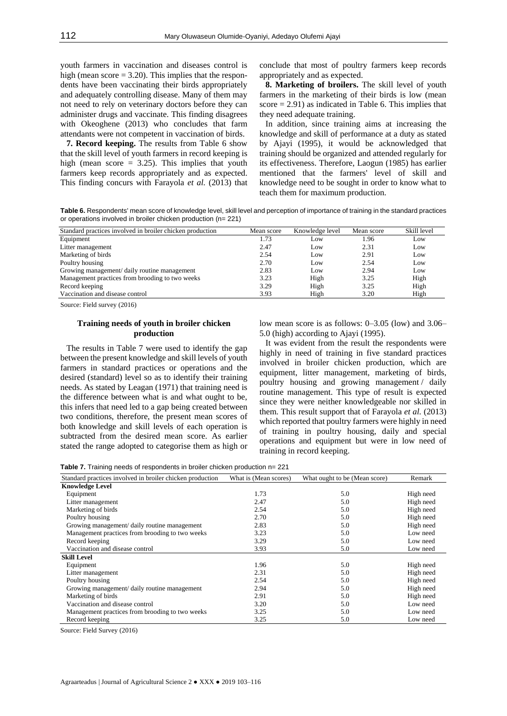youth farmers in vaccination and diseases control is high (mean score  $= 3.20$ ). This implies that the respondents have been vaccinating their birds appropriately and adequately controlling disease. Many of them may not need to rely on veterinary doctors before they can administer drugs and vaccinate. This finding disagrees with Okeoghene (2013) who concludes that farm attendants were not competent in vaccination of birds.

**7. Record keeping.** The results from Table 6 show that the skill level of youth farmers in record keeping is high (mean score  $= 3.25$ ). This implies that youth farmers keep records appropriately and as expected. This finding concurs with Farayola *et al.* (2013) that conclude that most of poultry farmers keep records appropriately and as expected.

**8. Marketing of broilers.** The skill level of youth farmers in the marketing of their birds is low (mean score  $= 2.91$ ) as indicated in Table 6. This implies that they need adequate training.

In addition, since training aims at increasing the knowledge and skill of performance at a duty as stated by Ajayi (1995), it would be acknowledged that training should be organized and attended regularly for its effectiveness. Therefore, Laogun (1985) has earlier mentioned that the farmers' level of skill and knowledge need to be sought in order to know what to teach them for maximum production.

**Table 6.** Respondents' mean score of knowledge level, skill level and perception of importance of training in the standard practices or operations involved in broiler chicken production (n= 221)

| Standard practices involved in broiler chicken production | Mean score | Knowledge level | Mean score | Skill level |
|-----------------------------------------------------------|------------|-----------------|------------|-------------|
| Equipment                                                 | 1.73       | Low             | 1.96       | Low         |
| Litter management                                         | 2.47       | Low             | 2.31       | Low         |
| Marketing of birds                                        | 2.54       | Low             | 2.91       | Low         |
| Poultry housing                                           | 2.70       | Low             | 2.54       | Low         |
| Growing management/ daily routine management              | 2.83       | Low             | 2.94       | Low         |
| Management practices from brooding to two weeks           | 3.23       | High            | 3.25       | High        |
| Record keeping                                            | 3.29       | High            | 3.25       | High        |
| Vaccination and disease control                           | 3.93       | High            | 3.20       | High        |

Source: Field survey (2016)

# **Training needs of youth in broiler chicken production**

The results in Table 7 were used to identify the gap between the present knowledge and skill levels of youth farmers in standard practices or operations and the desired (standard) level so as to identify their training needs. As stated by Leagan (1971) that training need is the difference between what is and what ought to be, this infers that need led to a gap being created between two conditions, therefore, the present mean scores of both knowledge and skill levels of each operation is subtracted from the desired mean score. As earlier stated the range adopted to categorise them as high or

low mean score is as follows: 0–3.05 (low) and 3.06– 5.0 (high) according to Ajayi (1995).

It was evident from the result the respondents were highly in need of training in five standard practices involved in broiler chicken production, which are equipment, litter management, marketing of birds, poultry housing and growing management / daily routine management. This type of result is expected since they were neither knowledgeable nor skilled in them. This result support that of Farayola *et al.* (2013) which reported that poultry farmers were highly in need of training in poultry housing, daily and special operations and equipment but were in low need of training in record keeping.

**Table 7.** Training needs of respondents in broiler chicken production n= 221

| Standard practices involved in broiler chicken production | What is (Mean scores) | What ought to be (Mean score) | Remark    |
|-----------------------------------------------------------|-----------------------|-------------------------------|-----------|
| <b>Knowledge Level</b>                                    |                       |                               |           |
| Equipment                                                 | 1.73                  | 5.0                           | High need |
| Litter management                                         | 2.47                  | 5.0                           | High need |
| Marketing of birds                                        | 2.54                  | 5.0                           | High need |
| Poultry housing                                           | 2.70                  | 5.0                           | High need |
| Growing management/ daily routine management              | 2.83                  | 5.0                           | High need |
| Management practices from brooding to two weeks           | 3.23                  | 5.0                           | Low need  |
| Record keeping                                            | 3.29                  | 5.0                           | Low need  |
| Vaccination and disease control                           | 3.93                  | 5.0                           | Low need  |
| <b>Skill Level</b>                                        |                       |                               |           |
| Equipment                                                 | 1.96                  | 5.0                           | High need |
| Litter management                                         | 2.31                  | 5.0                           | High need |
| Poultry housing                                           | 2.54                  | 5.0                           | High need |
| Growing management/ daily routine management              | 2.94                  | 5.0                           | High need |
| Marketing of birds                                        | 2.91                  | 5.0                           | High need |
| Vaccination and disease control                           | 3.20                  | 5.0                           | Low need  |
| Management practices from brooding to two weeks           | 3.25                  | 5.0                           | Low need  |
| Record keeping                                            | 3.25                  | 5.0                           | Low need  |

Source: Field Survey (2016)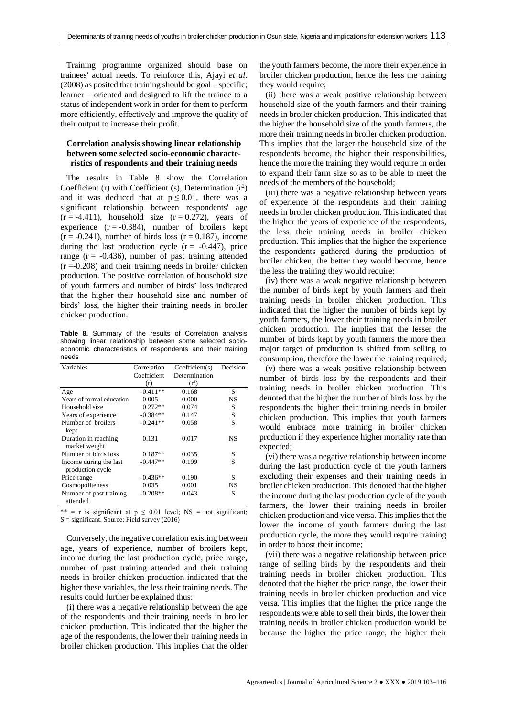Training programme organized should base on trainees' actual needs. To reinforce this, Ajayi *et al*. (2008) as posited that training should be goal – specific; learner – oriented and designed to lift the trainee to a status of independent work in order for them to perform more efficiently, effectively and improve the quality of their output to increase their profit.

# **Correlation analysis showing linear relationship between some selected socio-economic characteristics of respondents and their training needs**

The results in Table 8 show the Correlation Coefficient (r) with Coefficient (s), Determination  $(r^2)$ and it was deduced that at  $p \le 0.01$ , there was a significant relationship between respondents' age  $(r = -4.411)$ , household size  $(r = 0.272)$ , years of experience  $(r = -0.384)$ , number of broilers kept  $(r = -0.241)$ , number of birds loss  $(r = 0.187)$ , income during the last production cycle  $(r = -0.447)$ , price range ( $r = -0.436$ ), number of past training attended  $(r = 0.208)$  and their training needs in broiler chicken production. The positive correlation of household size of youth farmers and number of birds' loss indicated that the higher their household size and number of birds' loss, the higher their training needs in broiler chicken production.

**Table 8.** Summary of the results of Correlation analysis showing linear relationship between some selected socioeconomic characteristics of respondents and their training needs

| Variables                                  | Correlation | Coefficient(s) | Decision |
|--------------------------------------------|-------------|----------------|----------|
|                                            | Coefficient | Determination  |          |
|                                            | (r)         | $(r^2)$        |          |
| Age                                        | $-0.411**$  | 0.168          | S        |
| Years of formal education                  | 0.005       | 0.000          | NS       |
| Household size                             | $0.272**$   | 0.074          | S        |
| Years of experience                        | $-0.384**$  | 0.147          | S        |
| Number of broilers<br>kept                 | $-0.241**$  | 0.058          | S        |
| Duration in reaching<br>market weight      | 0.131       | 0.017          | NS       |
| Number of birds loss                       | $0.187**$   | 0.035          | S        |
| Income during the last<br>production cycle | $-0.447**$  | 0.199          | S        |
| Price range                                | $-0.436**$  | 0.190          | S        |
| Cosmopoliteness                            | 0.035       | 0.001          | NS       |
| Number of past training<br>attended        | $-0.208**$  | 0.043          | S        |

\*\* = r is significant at  $p \le 0.01$  level; NS = not significant; S = significant. Source: Field survey (2016)

Conversely, the negative correlation existing between age, years of experience, number of broilers kept, income during the last production cycle, price range, number of past training attended and their training needs in broiler chicken production indicated that the higher these variables, the less their training needs. The results could further be explained thus:

(i) there was a negative relationship between the age of the respondents and their training needs in broiler chicken production. This indicated that the higher the age of the respondents, the lower their training needs in broiler chicken production. This implies that the older the youth farmers become, the more their experience in broiler chicken production, hence the less the training they would require;

(ii) there was a weak positive relationship between household size of the youth farmers and their training needs in broiler chicken production. This indicated that the higher the household size of the youth farmers, the more their training needs in broiler chicken production. This implies that the larger the household size of the respondents become, the higher their responsibilities, hence the more the training they would require in order to expand their farm size so as to be able to meet the needs of the members of the household;

(iii) there was a negative relationship between years of experience of the respondents and their training needs in broiler chicken production. This indicated that the higher the years of experience of the respondents, the less their training needs in broiler chicken production. This implies that the higher the experience the respondents gathered during the production of broiler chicken, the better they would become, hence the less the training they would require;

(iv) there was a weak negative relationship between the number of birds kept by youth farmers and their training needs in broiler chicken production. This indicated that the higher the number of birds kept by youth farmers, the lower their training needs in broiler chicken production. The implies that the lesser the number of birds kept by youth farmers the more their major target of production is shifted from selling to consumption, therefore the lower the training required;

(v) there was a weak positive relationship between number of birds loss by the respondents and their training needs in broiler chicken production. This denoted that the higher the number of birds loss by the respondents the higher their training needs in broiler chicken production. This implies that youth farmers would embrace more training in broiler chicken production if they experience higher mortality rate than expected;

(vi) there was a negative relationship between income during the last production cycle of the youth farmers excluding their expenses and their training needs in broiler chicken production. This denoted that the higher the income during the last production cycle of the youth farmers, the lower their training needs in broiler chicken production and vice versa. This implies that the lower the income of youth farmers during the last production cycle, the more they would require training in order to boost their income;

(vii) there was a negative relationship between price range of selling birds by the respondents and their training needs in broiler chicken production. This denoted that the higher the price range, the lower their training needs in broiler chicken production and vice versa. This implies that the higher the price range the respondents were able to sell their birds, the lower their training needs in broiler chicken production would be because the higher the price range, the higher their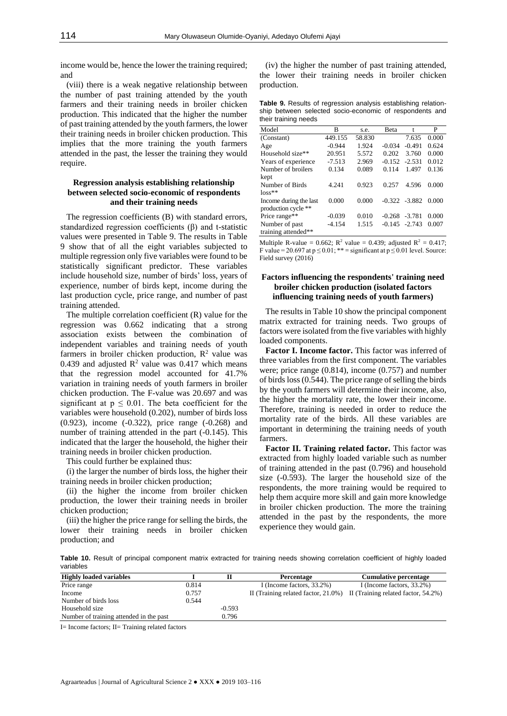income would be, hence the lower the training required; and

(viii) there is a weak negative relationship between the number of past training attended by the youth farmers and their training needs in broiler chicken production. This indicated that the higher the number of past training attended by the youth farmers, the lower their training needs in broiler chicken production. This implies that the more training the youth farmers attended in the past, the lesser the training they would require.

## **Regression analysis establishing relationship between selected socio-economic of respondents and their training needs**

The regression coefficients (B) with standard errors, standardized regression coefficients (β) and t-statistic values were presented in Table 9. The results in Table 9 show that of all the eight variables subjected to multiple regression only five variables were found to be statistically significant predictor. These variables include household size, number of birds' loss, years of experience, number of birds kept, income during the last production cycle, price range, and number of past training attended.

The multiple correlation coefficient (R) value for the regression was 0.662 indicating that a strong association exists between the combination of independent variables and training needs of youth farmers in broiler chicken production,  $R^2$  value was 0.439 and adjusted  $\mathbb{R}^2$  value was 0.417 which means that the regression model accounted for 41.7% variation in training needs of youth farmers in broiler chicken production. The F-value was 20.697 and was significant at  $p \leq 0.01$ . The beta coefficient for the variables were household (0.202), number of birds loss (0.923), income (-0.322), price range (-0.268) and number of training attended in the part (-0.145). This indicated that the larger the household, the higher their training needs in broiler chicken production.

This could further be explained thus:

(i) the larger the number of birds loss, the higher their training needs in broiler chicken production;

(ii) the higher the income from broiler chicken production, the lower their training needs in broiler chicken production;

(iii) the higher the price range for selling the birds, the lower their training needs in broiler chicken production; and

(iv) the higher the number of past training attended, the lower their training needs in broiler chicken production.

**Table 9.** Results of regression analysis establishing relationship between selected socio-economic of respondents and their training needs

| Model                  | в        | s.e.   | Beta     | t                | P     |
|------------------------|----------|--------|----------|------------------|-------|
| (Constant)             | 449.155  | 58.830 |          | 7.635            | 0.000 |
| Age                    | $-0.944$ | 1.924  | $-0.034$ | $-0.491$         | 0.624 |
| Household size**       | 20.951   | 5.572  | 0.202    | 3.760            | 0.000 |
| Years of experience    | $-7.513$ | 2.969  | $-0.152$ | $-2.531$         | 0.012 |
| Number of broilers     | 0.134    | 0.089  | 0.114    | 1.497            | 0.136 |
| kept                   |          |        |          |                  |       |
| Number of Birds        | 4.241    | 0.923  | 0.257    | 4.596            | 0.000 |
| $loss**$               |          |        |          |                  |       |
| Income during the last | 0.000    | 0.000  |          | $-0.322 - 3.882$ | 0.000 |
| production cycle **    |          |        |          |                  |       |
| Price range**          | $-0.039$ | 0.010  | $-0.268$ | $-3.781$         | 0.000 |
| Number of past         | $-4.154$ | 1.515  | $-0.145$ | $-2.743$         | 0.007 |
| training attended**    |          |        |          |                  |       |

Multiple R-value = 0.662; R<sup>2</sup> value = 0.439; adjusted R<sup>2</sup> = 0.417; F value = 20.697 at  $p \le 0.01$ ; \*\* = significant at  $p \le 0.01$  level. Source: Field survey (2016)

# **Factors influencing the respondents' training need broiler chicken production (isolated factors influencing training needs of youth farmers)**

The results in Table 10 show the principal component matrix extracted for training needs. Two groups of factors were isolated from the five variables with highly loaded components.

**Factor I. Income factor.** This factor was inferred of three variables from the first component. The variables were; price range (0.814), income (0.757) and number of birds loss (0.544). The price range of selling the birds by the youth farmers will determine their income, also, the higher the mortality rate, the lower their income. Therefore, training is needed in order to reduce the mortality rate of the birds. All these variables are important in determining the training needs of youth farmers.

**Factor II. Training related factor.** This factor was extracted from highly loaded variable such as number of training attended in the past (0.796) and household size (-0.593). The larger the household size of the respondents, the more training would be required to help them acquire more skill and gain more knowledge in broiler chicken production. The more the training attended in the past by the respondents, the more experience they would gain.

**Table 10.** Result of principal component matrix extracted for training needs showing correlation coefficient of highly loaded variables

| <b>Highly loaded variables</b>          |       |          | Percentage                                                                      | Cumulative percentage     |
|-----------------------------------------|-------|----------|---------------------------------------------------------------------------------|---------------------------|
| Price range                             | 0.814 |          | I (Income factors, $33.2\%$ )                                                   | I (Income factors, 33.2%) |
| Income                                  | 0.757 |          | II (Training related factor, $21.0\%$ ) II (Training related factor, $54.2\%$ ) |                           |
| Number of birds loss                    | 0.544 |          |                                                                                 |                           |
| Household size                          |       | $-0.593$ |                                                                                 |                           |
| Number of training attended in the past |       | 0.796    |                                                                                 |                           |

I= Income factors; II= Training related factors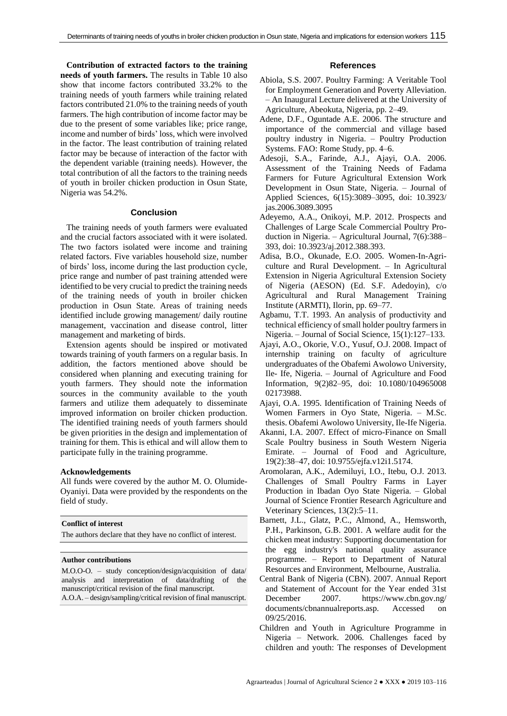**Contribution of extracted factors to the training needs of youth farmers.** The results in Table 10 also show that income factors contributed 33.2% to the training needs of youth farmers while training related factors contributed 21.0% to the training needs of youth farmers. The high contribution of income factor may be due to the present of some variables like; price range, income and number of birds' loss, which were involved in the factor. The least contribution of training related factor may be because of interaction of the factor with the dependent variable (training needs). However, the total contribution of all the factors to the training needs of youth in broiler chicken production in Osun State, Nigeria was 54.2%.

## **Conclusion**

The training needs of youth farmers were evaluated and the crucial factors associated with it were isolated. The two factors isolated were income and training related factors. Five variables household size, number of birds' loss, income during the last production cycle, price range and number of past training attended were identified to be very crucial to predict the training needs of the training needs of youth in broiler chicken production in Osun State. Areas of training needs identified include growing management/ daily routine management, vaccination and disease control, litter management and marketing of birds.

Extension agents should be inspired or motivated towards training of youth farmers on a regular basis. In addition, the factors mentioned above should be considered when planning and executing training for youth farmers. They should note the information sources in the community available to the youth farmers and utilize them adequately to disseminate improved information on broiler chicken production. The identified training needs of youth farmers should be given priorities in the design and implementation of training for them. This is ethical and will allow them to participate fully in the training programme.

## **Acknowledgements**

All funds were covered by the author M. O. Olumide-Oyaniyi. Data were provided by the respondents on the field of study.

## **Conflict of interest**

The authors declare that they have no conflict of interest.

#### **Author contributions**

M.O.O-O. – study conception/design/acquisition of data/ analysis and interpretation of data/drafting of the manuscript/critical revision of the final manuscript. A.O.A. – design/sampling/critical revision of final manuscript.

## **References**

- Abiola, S.S. 2007. Poultry Farming: A Veritable Tool for Employment Generation and Poverty Alleviation. – An Inaugural Lecture delivered at the University of Agriculture, Abeokuta, Nigeria, pp. 2–49.
- Adene, D.F., Oguntade A.E. 2006. The structure and importance of the commercial and village based poultry industry in Nigeria. – Poultry Production Systems. FAO: Rome Study, pp. 4–6.
- Adesoji, S.A., Farinde, A.J., Ajayi, O.A. 2006. Assessment of the Training Needs of Fadama Farmers for Future Agricultural Extension Work Development in Osun State, Nigeria. – Journal of Applied Sciences, 6(15):3089–3095, doi: 10.3923/ jas.2006.3089.3095
- Adeyemo, A.A., Onikoyi, M.P. 2012. Prospects and Challenges of Large Scale Commercial Poultry Production in Nigeria. – Agricultural Journal, 7(6):388– 393, doi: 10.3923/aj.2012.388.393.
- Adisa, B.O., Okunade, E.O. 2005. Women-In-Agriculture and Rural Development. – In Agricultural Extension in Nigeria Agricultural Extension Society of Nigeria (AESON) (Ed. S.F. Adedoyin), c/o Agricultural and Rural Management Training Institute (ARMTI), Ilorin, pp. 69–77.
- Agbamu, T.T. 1993. An analysis of productivity and technical efficiency of small holder poultry farmers in Nigeria. – Journal of Social Science, 15(1):127–133.
- Ajayi, A.O., Okorie, V.O., Yusuf, O.J. 2008. Impact of internship training on faculty of agriculture undergraduates of the Obafemi Awolowo University, Ile- Ife, Nigeria. – Journal of Agriculture and Food Information, 9(2)82–95, doi: 10.1080/104965008 02173988.
- Ajayi, O.A. 1995. Identification of Training Needs of Women Farmers in Oyo State, Nigeria. – M.Sc. thesis. Obafemi Awolowo University, Ile-Ife Nigeria.
- Akanni, I.A. 2007. Effect of micro-Finance on Small Scale Poultry business in South Western Nigeria Emirate. – Journal of Food and Agriculture, 19(2):38–47, doi: 10.9755/ejfa.v12i1.5174.
- Aromolaran, A.K., Ademiluyi, I.O., Itebu, O.J. 2013. Challenges of Small Poultry Farms in Layer Production in Ibadan Oyo State Nigeria. – Global Journal of Science Frontier Research Agriculture and Veterinary Sciences, 13(2):5–11.
- Barnett, J.L., Glatz, P.C., Almond, A., Hemsworth, P.H., Parkinson, G.B. 2001. A welfare audit for the chicken meat industry: Supporting documentation for the egg industry's national quality assurance programme. – Report to Department of Natural Resources and Environment, Melbourne, Australia.
- Central Bank of Nigeria (CBN). 2007. Annual Report and Statement of Account for the Year ended 31st December 2007. https://www.cbn.gov.ng/ documents/cbnannualreports.asp. Accessed on 09/25/2016.
- Children and Youth in Agriculture Programme in Nigeria – Network. 2006. Challenges faced by children and youth: The responses of Development